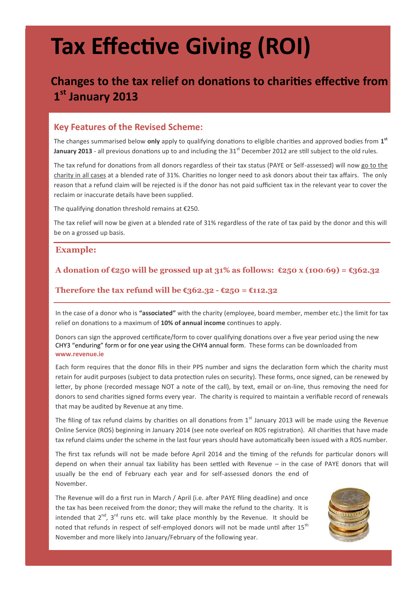# **Tax Effective Giving (ROI)**

## **Changes to the tax relief on donations to charities effective from 1 st January 2013**

#### **Key Features of the Revised Scheme:**

The changes summarised below **only** apply to qualifying donations to eligible charities and approved bodies from **1 st January 2013** - all previous donations up to and including the 31<sup>st</sup> December 2012 are still subject to the old rules.

The tax refund for donations from all donors regardless of their tax status (PAYE or Self-assessed) will now go to the charity in all cases at a blended rate of 31%. Charities no longer need to ask donors about their tax affairs. The only reason that a refund claim will be rejected is if the donor has not paid sufficient tax in the relevant year to cover the reclaim or inaccurate details have been supplied.

The qualifying donation threshold remains at €250.

The tax relief will now be given at a blended rate of 31% regardless of the rate of tax paid by the donor and this will be on a grossed up basis.

#### **Example:**

#### **A donation of €250 will be grossed up at 31% as follows: €250 x (100/69) = €362.32**

#### **Therefore the tax refund will be €362.32 - €250 = €112.32**

In the case of a donor who is **"associated"** with the charity (employee, board member, member etc.) the limit for tax relief on donations to a maximum of **10% of annual income** continues to apply.

Donors can sign the approved certificate/form to cover qualifying donations over a five year period using the new [CHY3 "enduring" form o](http://www.revenue.ie/en/tax/it/forms/chy3cert-charity.pdf)r for one year using the [CHY4 annual form.](http://www.revenue.ie/en/tax/it/forms/chy4cert-charity.pdf) These forms can be downloaded from **www.revenue.ie** 

Each form requires that the donor fills in their PPS number and signs the declaration form which the charity must retain for audit purposes (subject to data protection rules on security). These forms, once signed, can be renewed by letter, by phone (recorded message NOT a note of the call), by text, email or on-line, thus removing the need for donors to send charities signed forms every year. The charity is required to maintain a verifiable record of renewals that may be audited by Revenue at any time.

The filing of tax refund claims by charities on all donations from  $1<sup>st</sup>$  January 2013 will be made using the Revenue Online Service (ROS) beginning in January 2014 (see note overleaf on ROS registration). All charities that have made tax refund claims under the scheme in the last four years should have automatically been issued with a ROS number.

The first tax refunds will not be made before April 2014 and the timing of the refunds for particular donors will depend on when their annual tax liability has been settled with Revenue – in the case of PAYE donors that will usually be the end of February each year and for self-assessed donors the end of November.

The Revenue will do a first run in March / April (i.e. after PAYE filing deadline) and once the tax has been received from the donor; they will make the refund to the charity. It is intended that  $2^{nd}$ ,  $3^{rd}$  runs etc. will take place monthly by the Revenue. It should be noted that refunds in respect of self-employed donors will not be made until after  $15<sup>th</sup>$ November and more likely into January/February of the following year.